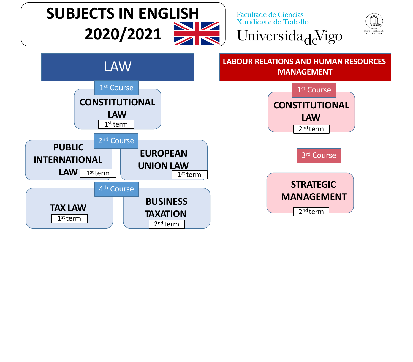

2nd term

**TAXATION**

2nd term

1st term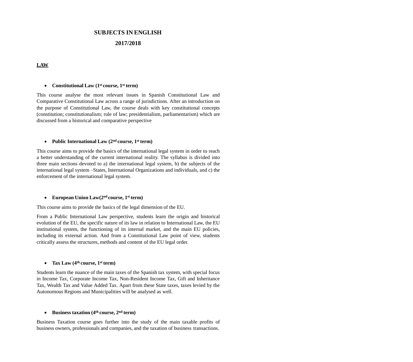# **SUBJECTS IN ENGLISH**

# **2017/2018**

## **LAW**

#### • Constitutional Law (1<sup>st</sup> course, 1<sup>st</sup> term)

This course analyse the most relevant issues in Spanish Constitutional Law and Comparative Constitutional Law across a range of jurisdictions. After an introduction on the purpose of Constitutional Law, the course deals with key constitutional concepts (constitution; constitutionalism; rule of law; presidentialism, parliamentarism) which are discussed from a historical and comparative perspective

## **Public International Law (2nd course, 1st term)**

This course aims to provide the basics of the international legal system in order to reach a better understanding of the current international reality. The syllabus is divided into three main sections devoted to a) the international legal system, b) the subjects of the international legal system –States, International Organizations and individuals, and c) the enforcement of the international legal system.

#### **European Union Law(2nd course, 1st term)**

This course aims to provide the basics of the legal dimension of the EU.

From a Public International Law perspective, students learn the origin and historical evolution of the EU, the specific nature of its law in relation to International Law, the EU institutional system, the functioning of its internal market, and the main EU policies, including its external action. And from a Constitutional Law point of view, students critically assess the structures, methods and content of the EU legal order.

## **Tax Law (4th course, 1st term)**

Students learn the nuance of the main taxes of the Spanish tax system, with special focus in Income Tax, Corporate Income Tax, Non-Resident Income Tax, Gift and Inheritance Tax, Wealth Tax and Value Added Tax. Apart from these State taxes, taxes levied by the Autonomous Regions and Municipalities will be analysed as well.

## **Business taxation (4th course, 2nd term)**

Business Taxation course goes further into the study of the main taxable profits of business owners, professionals and companies, and the taxation of business transactions.